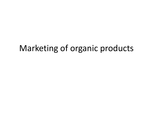### Marketing of organic products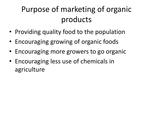## Purpose of marketing of organic products

- Providing quality food to the population
- Encouraging growing of organic foods
- Encouraging more growers to go organic
- Encouraging less use of chemicals in agriculture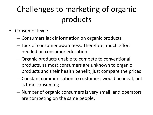### Challenges to marketing of organic products

- Consumer level:
	- Consumers lack information on organic products
	- Lack of consumer awareness. Therefore, much effort needed on consumer education
	- Organic products unable to compete to conventional products, as most consumers are unknown to organic products and their health benefit, just compare the prices
	- Constant communication to customers would be ideal, but is time consuming
	- Number of organic consumers is very small, and operators are competing on the same people.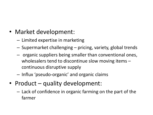- Market development:
	- Limited expertise in marketing
	- Supermarket challenging pricing, variety, global trends
	- organic suppliers being smaller than conventional ones, wholesalers tend to discontinue slow moving items – continuous disruptive supply
	- Influx 'pseudo-organic' and organic claims
- Product quality development:
	- Lack of confidence in organic farming on the part of the farmer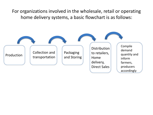For organizations involved in the wholesale, retail or operating home delivery systems, a basic flowchart is as follows:

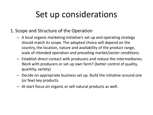# Set up considerations

- 1. Scope and Structure of the Operation
	- A local organic marketing initiative's set up and operating strategy should match its scope. The adopted choice will depend on the country, the location, nature and availability of the product range, scale of intended operation and prevailing market/sector conditions.
	- Establish direct contact with producers and reduce the intermediaries. Work with producers or set up own farm? (better control of quality, quantity, variety)
	- Decide on appropriate business set up. Build the initiative around one (or few) key products.
	- At start focus on organic or sell natural products as well.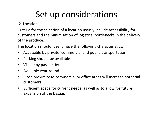# Set up considerations

### 2. Location

Criteria for the selection of a location mainly include accessibility for customers and the minimization of logistical bottlenecks in the delivery of the produce.

The location should ideally have the following characteristics:

- Accessible by private, commercial and public transportation
- Parking should be available
- Visible by passers-by
- Available year-round
- Close proximity to commercial or office areas will increase potential customers
- Sufficient space for current needs, as well as to allow for future expansion of the bazaar.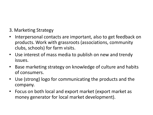### 3. Marketing Strategy

- Interpersonal contacts are important, also to get feedback on products. Work with grassroots (associations, community clubs, schools) for farm visits.
- Use interest of mass media to publish on new and trendy issues.
- Base marketing strategy on knowledge of culture and habits of consumers.
- Use (strong) logo for communicating the products and the company.
- Focus on both local and export market (export market as money generator for local market development).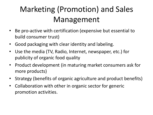# Marketing (Promotion) and Sales Management

- Be pro-active with certification (expensive but essential to build consumer trust)
- Good packaging with clear identity and labeling.
- Use the media (TV, Radio, Internet, newspaper, etc.) for publicity of organic food quality
- Product development (in maturing market consumers ask for more products)
- Strategy (benefits of organic agriculture and product benefits)
- Collaboration with other in organic sector for generic promotion activities.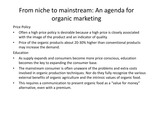### From niche to mainstream: An agenda for organic marketing

Price Policy

- Often a high price policy is desirable because a high price is closely associated with the image of the product and an indicator of quality.
- Price of the organic products about 20-30% higher than conventional products may increase the demand.

Education

- As supply expands and consumers become more price conscious, education becomes the key to expanding the consumer base.
- The mainstream consumer is often unaware of the problems and extra costs involved in organic production techniques. Nor do they fully recognize the various external benefits of organic agriculture and the intrinsic values of organic food.
- This requires a communication to present organic food as a "value for money" alternative, even with a premium.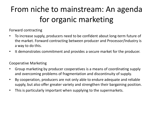# From niche to mainstream: An agenda for organic marketing

Forward contracting

- To increase supply, producers need to be confident about long-term future of the market. Forward contracting between producer and Processor/Industry is a way to do this.
- It demonstrates commitment and provides a secure market for the producer.

#### Cooperative Marketing

- Group marketing by producer cooperatives is a means of coordinating supply and overcoming problems of fragmentation and discontinuity of supply.
- By cooperation, producers are not only able to endure adequate and reliable supply, but also offer greater variety and strengthen their bargaining position.
- This is particularly important when supplying to the supermarkets.